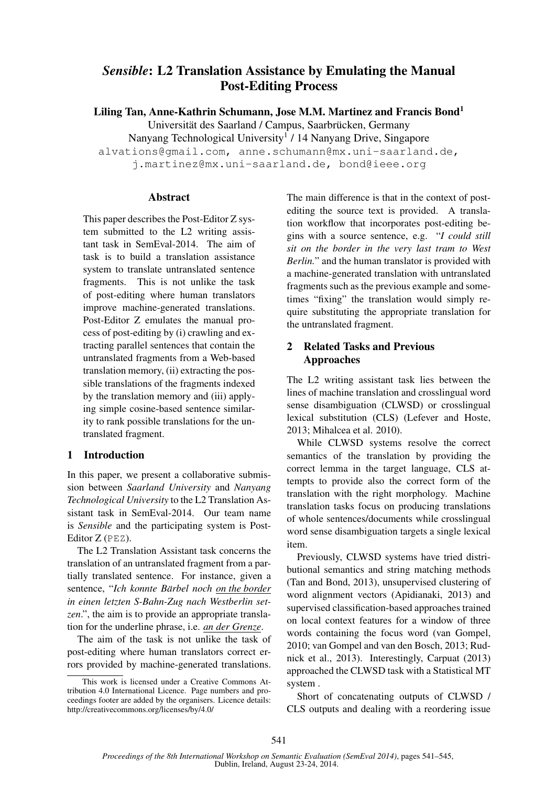# *Sensible*: L2 Translation Assistance by Emulating the Manual Post-Editing Process

Liling Tan, Anne-Kathrin Schumann, Jose M.M. Martinez and Francis Bond<sup>1</sup>

Universität des Saarland / Campus, Saarbrücken, Germany

Nanyang Technological University<sup>1</sup> / 14 Nanyang Drive, Singapore

alvations@gmail.com, anne.schumann@mx.uni-saarland.de,

j.martinez@mx.uni-saarland.de, bond@ieee.org

## **Abstract**

This paper describes the Post-Editor Z system submitted to the L2 writing assistant task in SemEval-2014. The aim of task is to build a translation assistance system to translate untranslated sentence fragments. This is not unlike the task of post-editing where human translators improve machine-generated translations. Post-Editor Z emulates the manual process of post-editing by (i) crawling and extracting parallel sentences that contain the untranslated fragments from a Web-based translation memory, (ii) extracting the possible translations of the fragments indexed by the translation memory and (iii) applying simple cosine-based sentence similarity to rank possible translations for the untranslated fragment.

# 1 Introduction

In this paper, we present a collaborative submission between *Saarland University* and *Nanyang Technological University* to the L2 Translation Assistant task in SemEval-2014. Our team name is *Sensible* and the participating system is Post-Editor Z (PEZ).

The L2 Translation Assistant task concerns the translation of an untranslated fragment from a partially translated sentence. For instance, given a sentence, "*Ich konnte Bärbel noch on the border in einen letzten S-Bahn-Zug nach Westberlin setzen*.", the aim is to provide an appropriate translation for the underline phrase, i.e. *an der Grenze*.

The aim of the task is not unlike the task of post-editing where human translators correct errors provided by machine-generated translations. The main difference is that in the context of postediting the source text is provided. A translation workflow that incorporates post-editing begins with a source sentence, e.g. "*I could still sit on the border in the very last tram to West Berlin.*" and the human translator is provided with a machine-generated translation with untranslated fragments such as the previous example and sometimes "fixing" the translation would simply require substituting the appropriate translation for the untranslated fragment.

# 2 Related Tasks and Previous Approaches

The L2 writing assistant task lies between the lines of machine translation and crosslingual word sense disambiguation (CLWSD) or crosslingual lexical substitution (CLS) (Lefever and Hoste, 2013; Mihalcea et al. 2010).

While CLWSD systems resolve the correct semantics of the translation by providing the correct lemma in the target language, CLS attempts to provide also the correct form of the translation with the right morphology. Machine translation tasks focus on producing translations of whole sentences/documents while crosslingual word sense disambiguation targets a single lexical item.

Previously, CLWSD systems have tried distributional semantics and string matching methods (Tan and Bond, 2013), unsupervised clustering of word alignment vectors (Apidianaki, 2013) and supervised classification-based approaches trained on local context features for a window of three words containing the focus word (van Gompel, 2010; van Gompel and van den Bosch, 2013; Rudnick et al., 2013). Interestingly, Carpuat (2013) approached the CLWSD task with a Statistical MT system .

Short of concatenating outputs of CLWSD / CLS outputs and dealing with a reordering issue

This work is licensed under a Creative Commons Attribution 4.0 International Licence. Page numbers and proceedings footer are added by the organisers. Licence details: http://creativecommons.org/licenses/by/4.0/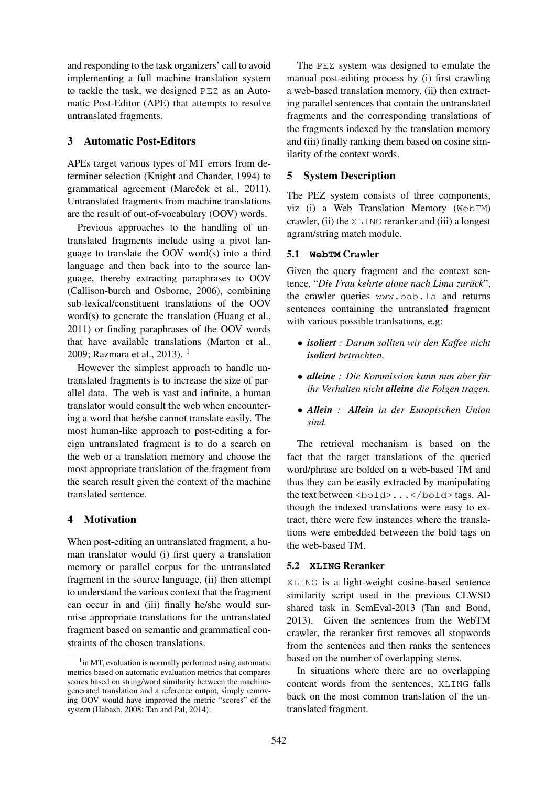and responding to the task organizers' call to avoid implementing a full machine translation system to tackle the task, we designed PEZ as an Automatic Post-Editor (APE) that attempts to resolve untranslated fragments.

### 3 Automatic Post-Editors

APEs target various types of MT errors from determiner selection (Knight and Chander, 1994) to grammatical agreement (Mareček et al., 2011). Untranslated fragments from machine translations are the result of out-of-vocabulary (OOV) words.

Previous approaches to the handling of untranslated fragments include using a pivot language to translate the OOV word(s) into a third language and then back into to the source language, thereby extracting paraphrases to OOV (Callison-burch and Osborne, 2006), combining sub-lexical/constituent translations of the OOV word(s) to generate the translation (Huang et al., 2011) or finding paraphrases of the OOV words that have available translations (Marton et al., 2009; Razmara et al., 2013).  $1$ 

However the simplest approach to handle untranslated fragments is to increase the size of parallel data. The web is vast and infinite, a human translator would consult the web when encountering a word that he/she cannot translate easily. The most human-like approach to post-editing a foreign untranslated fragment is to do a search on the web or a translation memory and choose the most appropriate translation of the fragment from the search result given the context of the machine translated sentence.

## 4 Motivation

When post-editing an untranslated fragment, a human translator would (i) first query a translation memory or parallel corpus for the untranslated fragment in the source language, (ii) then attempt to understand the various context that the fragment can occur in and (iii) finally he/she would surmise appropriate translations for the untranslated fragment based on semantic and grammatical constraints of the chosen translations.

The PEZ system was designed to emulate the manual post-editing process by (i) first crawling a web-based translation memory, (ii) then extracting parallel sentences that contain the untranslated fragments and the corresponding translations of the fragments indexed by the translation memory and (iii) finally ranking them based on cosine similarity of the context words.

## 5 System Description

The PEZ system consists of three components, viz (i) a Web Translation Memory (WebTM) crawler, (ii) the XLING reranker and (iii) a longest ngram/string match module.

## 5.1 **WebTM** Crawler

Given the query fragment and the context sentence, "*Die Frau kehrte alone nach Lima zuruck ¨* ", the crawler queries www.bab.la and returns sentences containing the untranslated fragment with various possible tranlsations, e.g:

- *isoliert : Darum sollten wir den Kaffee nicht isoliert betrachten.*
- *alleine : Die Kommission kann nun aber für ihr Verhalten nicht alleine die Folgen tragen.*
- *Allein : Allein in der Europischen Union sind.*

The retrieval mechanism is based on the fact that the target translations of the queried word/phrase are bolded on a web-based TM and thus they can be easily extracted by manipulating the text between <br/>bold>...</bold>tags. Although the indexed translations were easy to extract, there were few instances where the translations were embedded betweeen the bold tags on the web-based TM.

## 5.2 **XLING** Reranker

XLING is a light-weight cosine-based sentence similarity script used in the previous CLWSD shared task in SemEval-2013 (Tan and Bond, 2013). Given the sentences from the WebTM crawler, the reranker first removes all stopwords from the sentences and then ranks the sentences based on the number of overlapping stems.

In situations where there are no overlapping content words from the sentences, XLING falls back on the most common translation of the untranslated fragment.

<sup>&</sup>lt;sup>1</sup> in MT, evaluation is normally performed using automatic metrics based on automatic evaluation metrics that compares scores based on string/word similarity between the machinegenerated translation and a reference output, simply removing OOV would have improved the metric "scores" of the system (Habash, 2008; Tan and Pal, 2014).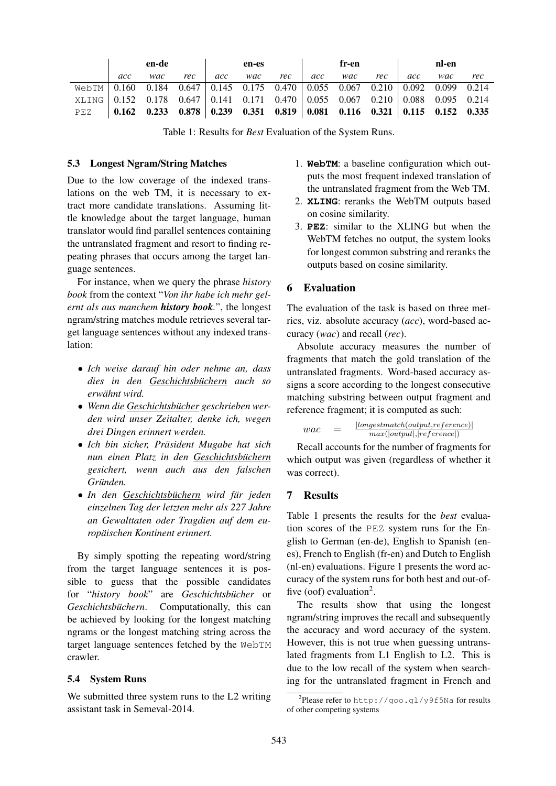|                                                                                                |     | en-de                                                                           |     |     | en-es |     |     | fr-en |     |     | nl-en |     |
|------------------------------------------------------------------------------------------------|-----|---------------------------------------------------------------------------------|-----|-----|-------|-----|-----|-------|-----|-----|-------|-----|
|                                                                                                | acc | wac                                                                             | rec | acc | wac   | rec | acc | wac   | rec | acc | wac   | rec |
| Web TM $\vert$ 0.160 0.184 0.647 $\vert$ 0.145 0.175 0.470 0.055 0.067 0.210 0.092 0.099 0.214 |     |                                                                                 |     |     |       |     |     |       |     |     |       |     |
| XLING 0.152 0.178 0.647 0.141 0.171 0.470 0.055 0.067 0.210 0.088 0.095 0.214                  |     |                                                                                 |     |     |       |     |     |       |     |     |       |     |
| PEZ                                                                                            |     | $\vert$ 0.162 0.233 0.878 0.239 0.351 0.819 0.081 0.116 0.321 0.115 0.152 0.335 |     |     |       |     |     |       |     |     |       |     |

Table 1: Results for *Best* Evaluation of the System Runs.

#### 5.3 Longest Ngram/String Matches

Due to the low coverage of the indexed translations on the web TM, it is necessary to extract more candidate translations. Assuming little knowledge about the target language, human translator would find parallel sentences containing the untranslated fragment and resort to finding repeating phrases that occurs among the target language sentences.

For instance, when we query the phrase *history book* from the context "*Von ihr habe ich mehr gelernt als aus manchem history book.*", the longest ngram/string matches module retrieves several target language sentences without any indexed translation:

- *Ich weise darauf hin oder nehme an, dass dies in den Geschichtsbuchern ¨ auch so erwahnt wird. ¨*
- Wenn die Geschichtsbücher geschrieben wer*den wird unser Zeitalter, denke ich, wegen drei Dingen erinnert werden.*
- *Ich bin sicher, Präsident Mugabe hat sich nun einen Platz in den Geschichtsbuchern ¨ gesichert, wenn auch aus den falschen*  $Gründen.$
- In den Geschichtsbüchern wird für jeden *einzelnen Tag der letzten mehr als 227 Jahre an Gewalttaten oder Tragdien auf dem europaischen Kontinent erinnert. ¨*

By simply spotting the repeating word/string from the target language sentences it is possible to guess that the possible candidates for "history book" are Geschichtsbücher or *Geschichtsbüchern*. Computationally, this can be achieved by looking for the longest matching ngrams or the longest matching string across the target language sentences fetched by the WebTM crawler.

### 5.4 System Runs

We submitted three system runs to the L2 writing assistant task in Semeval-2014.

- 1. **WebTM**: a baseline configuration which outputs the most frequent indexed translation of the untranslated fragment from the Web TM.
- 2. **XLING**: reranks the WebTM outputs based on cosine similarity.
- 3. **PEZ**: similar to the XLING but when the WebTM fetches no output, the system looks for longest common substring and reranks the outputs based on cosine similarity.

#### 6 Evaluation

The evaluation of the task is based on three metrics, viz. absolute accuracy (*acc*), word-based accuracy (*wac*) and recall (*rec*).

Absolute accuracy measures the number of fragments that match the gold translation of the untranslated fragments. Word-based accuracy assigns a score according to the longest consecutive matching substring between output fragment and reference fragment; it is computed as such:

$$
wac = \frac{|longestmatch(output, reference)|}{max(|output|, reference|)}
$$

Recall accounts for the number of fragments for which output was given (regardless of whether it was correct).

## 7 Results

Table 1 presents the results for the *best* evaluation scores of the PEZ system runs for the English to German (en-de), English to Spanish (enes), French to English (fr-en) and Dutch to English (nl-en) evaluations. Figure 1 presents the word accuracy of the system runs for both best and out-offive (oof) evaluation<sup>2</sup>.

The results show that using the longest ngram/string improves the recall and subsequently the accuracy and word accuracy of the system. However, this is not true when guessing untranslated fragments from L1 English to L2. This is due to the low recall of the system when searching for the untranslated fragment in French and

 $2$ Please refer to http://goo.gl/y9f5Na for results of other competing systems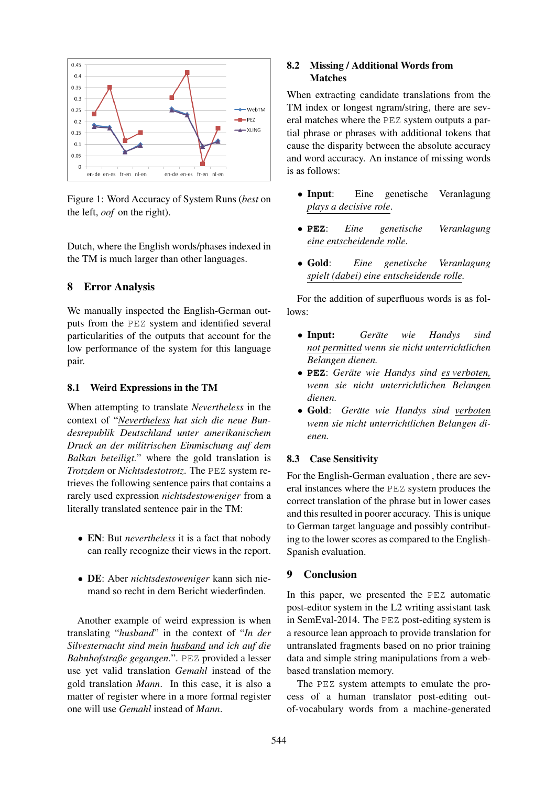

Figure 1: Word Accuracy of System Runs (*best* on the left, *oof* on the right).

Dutch, where the English words/phases indexed in the TM is much larger than other languages.

# 8 Error Analysis

We manually inspected the English-German outputs from the PEZ system and identified several particularities of the outputs that account for the low performance of the system for this language pair.

## 8.1 Weird Expressions in the TM

When attempting to translate *Nevertheless* in the context of "*Nevertheless hat sich die neue Bundesrepublik Deutschland unter amerikanischem Druck an der militrischen Einmischung auf dem Balkan beteiligt.*" where the gold translation is *Trotzdem* or *Nichtsdestotrotz*. The PEZ system retrieves the following sentence pairs that contains a rarely used expression *nichtsdestoweniger* from a literally translated sentence pair in the TM:

- EN: But *nevertheless* it is a fact that nobody can really recognize their views in the report.
- DE: Aber *nichtsdestoweniger* kann sich niemand so recht in dem Bericht wiederfinden.

Another example of weird expression is when translating "*husband*" in the context of "*In der Silvesternacht sind mein husband und ich auf die Bahnhofstraße gegangen.*". PEZ provided a lesser use yet valid translation *Gemahl* instead of the gold translation *Mann*. In this case, it is also a matter of register where in a more formal register one will use *Gemahl* instead of *Mann*.

### 8.2 Missing / Additional Words from Matches

When extracting candidate translations from the TM index or longest ngram/string, there are several matches where the PEZ system outputs a partial phrase or phrases with additional tokens that cause the disparity between the absolute accuracy and word accuracy. An instance of missing words is as follows:

- Input: Eine genetische Veranlagung *plays a decisive role*.
- **PEZ**: *Eine genetische Veranlagung eine entscheidende rolle.*
- Gold: *Eine genetische Veranlagung spielt (dabei) eine entscheidende rolle.*

For the addition of superfluous words is as follows:

- Input: *Gerate wie Handys sind ¨ not permitted wenn sie nicht unterrichtlichen Belangen dienen.*
- **PEZ**: *Gerate wie Handys sind es verboten, ¨ wenn sie nicht unterrichtlichen Belangen dienen.*
- Gold: *Gerate wie Handys sind verboten ¨ wenn sie nicht unterrichtlichen Belangen dienen.*

#### 8.3 Case Sensitivity

For the English-German evaluation , there are several instances where the PEZ system produces the correct translation of the phrase but in lower cases and this resulted in poorer accuracy. This is unique to German target language and possibly contributing to the lower scores as compared to the English-Spanish evaluation.

#### 9 Conclusion

In this paper, we presented the PEZ automatic post-editor system in the L2 writing assistant task in SemEval-2014. The PEZ post-editing system is a resource lean approach to provide translation for untranslated fragments based on no prior training data and simple string manipulations from a webbased translation memory.

The PEZ system attempts to emulate the process of a human translator post-editing outof-vocabulary words from a machine-generated